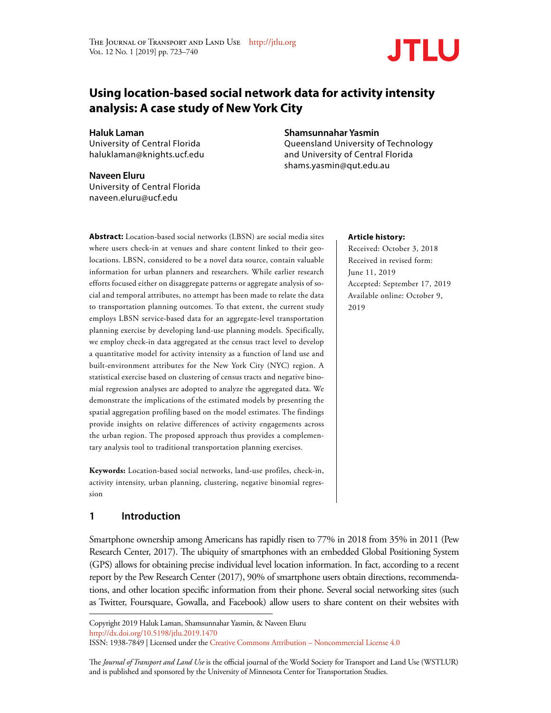

# **Using location-based social network data for activity intensity analysis: A case study of New York City**

**Haluk Laman**

University of Central Florida haluklaman@knights.ucf.edu

## **Naveen Eluru**

University of Central Florida naveen.eluru@ucf.edu

## **Shamsunnahar Yasmin**

Queensland University of Technology and University of Central Florida shams.yasmin@qut.edu.au

**Abstract:** Location-based social networks (LBSN) are social media sites where users check-in at venues and share content linked to their geolocations. LBSN, considered to be a novel data source, contain valuable information for urban planners and researchers. While earlier research efforts focused either on disaggregate patterns or aggregate analysis of social and temporal attributes, no attempt has been made to relate the data to transportation planning outcomes. To that extent, the current study employs LBSN service-based data for an aggregate-level transportation planning exercise by developing land-use planning models. Specifically, we employ check-in data aggregated at the census tract level to develop a quantitative model for activity intensity as a function of land use and built-environment attributes for the New York City (NYC) region. A statistical exercise based on clustering of census tracts and negative binomial regression analyses are adopted to analyze the aggregated data. We demonstrate the implications of the estimated models by presenting the spatial aggregation profiling based on the model estimates. The findings provide insights on relative differences of activity engagements across the urban region. The proposed approach thus provides a complementary analysis tool to traditional transportation planning exercises.

**Keywords:** Location-based social networks, land-use profiles, check-in, activity intensity, urban planning, clustering, negative binomial regression

## **1 Introduction**

Smartphone ownership among Americans has rapidly risen to 77% in 2018 from 35% in 2011 (Pew Research Center, 2017). The ubiquity of smartphones with an embedded Global Positioning System (GPS) allows for obtaining precise individual level location information. In fact, according to a recent report by the Pew Research Center (2017), 90% of smartphone users obtain directions, recommendations, and other location specific information from their phone. Several social networking sites (such as Twitter, Foursquare, Gowalla, and Facebook) allow users to share content on their websites with

ISSN: 1938-7849 | Licensed under the Creative Commons Attribution – Noncommercial License 4.0

The *Journal of Transport and Land Use* is the official journal of the World Society for Transport and Land Use (WSTLUR) and is published and sponsored by the University of Minnesota Center for Transportation Studies.

#### **Article history:**

Received: October 3, 2018 Received in revised form: June 11, 2019 Accepted: September 17, 2019 Available online: October 9, 2019

Copyright 2019 Haluk Laman, Shamsunnahar Yasmin, & Naveen Eluru http://dx.doi.org/10.5198/jtlu.2019.1470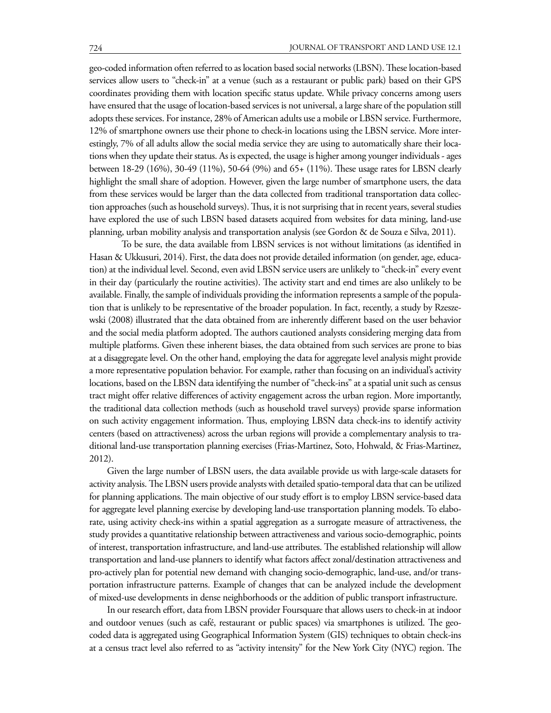geo-coded information often referred to as location based social networks (LBSN). These location-based services allow users to "check-in" at a venue (such as a restaurant or public park) based on their GPS coordinates providing them with location specific status update. While privacy concerns among users have ensured that the usage of location-based services is not universal, a large share of the population still adopts these services. For instance, 28% of American adults use a mobile or LBSN service. Furthermore, 12% of smartphone owners use their phone to check-in locations using the LBSN service. More interestingly, 7% of all adults allow the social media service they are using to automatically share their locations when they update their status. As is expected, the usage is higher among younger individuals - ages between 18-29 (16%), 30-49 (11%), 50-64 (9%) and 65+ (11%). These usage rates for LBSN clearly highlight the small share of adoption. However, given the large number of smartphone users, the data from these services would be larger than the data collected from traditional transportation data collection approaches (such as household surveys). Thus, it is not surprising that in recent years, several studies have explored the use of such LBSN based datasets acquired from websites for data mining, land-use planning, urban mobility analysis and transportation analysis (see Gordon & de Souza e Silva, 2011).

To be sure, the data available from LBSN services is not without limitations (as identified in Hasan & Ukkusuri, 2014). First, the data does not provide detailed information (on gender, age, education) at the individual level. Second, even avid LBSN service users are unlikely to "check-in" every event in their day (particularly the routine activities). The activity start and end times are also unlikely to be available. Finally, the sample of individuals providing the information represents a sample of the population that is unlikely to be representative of the broader population. In fact, recently, a study by Rzeszewski (2008) illustrated that the data obtained from are inherently different based on the user behavior and the social media platform adopted. The authors cautioned analysts considering merging data from multiple platforms. Given these inherent biases, the data obtained from such services are prone to bias at a disaggregate level. On the other hand, employing the data for aggregate level analysis might provide a more representative population behavior. For example, rather than focusing on an individual's activity locations, based on the LBSN data identifying the number of "check-ins" at a spatial unit such as census tract might offer relative differences of activity engagement across the urban region. More importantly, the traditional data collection methods (such as household travel surveys) provide sparse information on such activity engagement information. Thus, employing LBSN data check-ins to identify activity centers (based on attractiveness) across the urban regions will provide a complementary analysis to traditional land-use transportation planning exercises (Frias-Martinez, Soto, Hohwald, & Frias-Martinez, 2012).

Given the large number of LBSN users, the data available provide us with large-scale datasets for activity analysis. The LBSN users provide analysts with detailed spatio-temporal data that can be utilized for planning applications. The main objective of our study effort is to employ LBSN service-based data for aggregate level planning exercise by developing land-use transportation planning models. To elaborate, using activity check-ins within a spatial aggregation as a surrogate measure of attractiveness, the study provides a quantitative relationship between attractiveness and various socio-demographic, points of interest, transportation infrastructure, and land-use attributes. The established relationship will allow transportation and land-use planners to identify what factors affect zonal/destination attractiveness and pro-actively plan for potential new demand with changing socio-demographic, land-use, and/or transportation infrastructure patterns. Example of changes that can be analyzed include the development of mixed-use developments in dense neighborhoods or the addition of public transport infrastructure.

In our research effort, data from LBSN provider Foursquare that allows users to check-in at indoor and outdoor venues (such as café, restaurant or public spaces) via smartphones is utilized. The geocoded data is aggregated using Geographical Information System (GIS) techniques to obtain check-ins at a census tract level also referred to as "activity intensity" for the New York City (NYC) region. The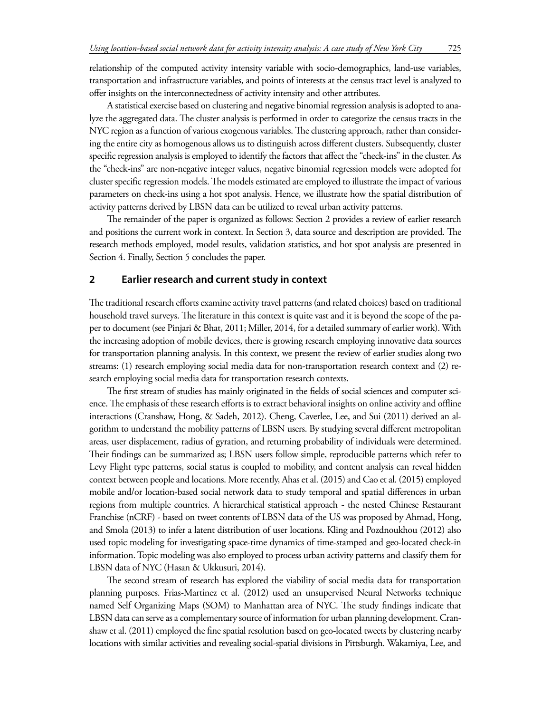relationship of the computed activity intensity variable with socio-demographics, land-use variables, transportation and infrastructure variables, and points of interests at the census tract level is analyzed to offer insights on the interconnectedness of activity intensity and other attributes.

A statistical exercise based on clustering and negative binomial regression analysis is adopted to analyze the aggregated data. The cluster analysis is performed in order to categorize the census tracts in the NYC region as a function of various exogenous variables. The clustering approach, rather than considering the entire city as homogenous allows us to distinguish across different clusters. Subsequently, cluster specific regression analysis is employed to identify the factors that affect the "check-ins" in the cluster. As the "check-ins" are non-negative integer values, negative binomial regression models were adopted for cluster specific regression models. The models estimated are employed to illustrate the impact of various parameters on check-ins using a hot spot analysis. Hence, we illustrate how the spatial distribution of activity patterns derived by LBSN data can be utilized to reveal urban activity patterns.

The remainder of the paper is organized as follows: Section 2 provides a review of earlier research and positions the current work in context. In Section 3, data source and description are provided. The research methods employed, model results, validation statistics, and hot spot analysis are presented in Section 4. Finally, Section 5 concludes the paper.

#### **2 Earlier research and current study in context**

The traditional research efforts examine activity travel patterns (and related choices) based on traditional household travel surveys. The literature in this context is quite vast and it is beyond the scope of the paper to document (see Pinjari & Bhat, 2011; Miller, 2014, for a detailed summary of earlier work). With the increasing adoption of mobile devices, there is growing research employing innovative data sources for transportation planning analysis. In this context, we present the review of earlier studies along two streams: (1) research employing social media data for non-transportation research context and (2) research employing social media data for transportation research contexts.

The first stream of studies has mainly originated in the fields of social sciences and computer science. The emphasis of these research efforts is to extract behavioral insights on online activity and offline interactions (Cranshaw, Hong, & Sadeh, 2012). Cheng, Caverlee, Lee, and Sui (2011) derived an algorithm to understand the mobility patterns of LBSN users. By studying several different metropolitan areas, user displacement, radius of gyration, and returning probability of individuals were determined. Their findings can be summarized as; LBSN users follow simple, reproducible patterns which refer to Levy Flight type patterns, social status is coupled to mobility, and content analysis can reveal hidden context between people and locations. More recently, Ahas et al. (2015) and Cao et al. (2015) employed mobile and/or location-based social network data to study temporal and spatial differences in urban regions from multiple countries. A hierarchical statistical approach - the nested Chinese Restaurant Franchise (nCRF) - based on tweet contents of LBSN data of the US was proposed by Ahmad, Hong, and Smola (2013) to infer a latent distribution of user locations. Kling and Pozdnoukhou (2012) also used topic modeling for investigating space-time dynamics of time-stamped and geo-located check-in information. Topic modeling was also employed to process urban activity patterns and classify them for LBSN data of NYC (Hasan & Ukkusuri, 2014).

The second stream of research has explored the viability of social media data for transportation planning purposes. Frias-Martinez et al. (2012) used an unsupervised Neural Networks technique named Self Organizing Maps (SOM) to Manhattan area of NYC. The study findings indicate that LBSN data can serve as a complementary source of information for urban planning development. Cranshaw et al. (2011) employed the fine spatial resolution based on geo-located tweets by clustering nearby locations with similar activities and revealing social-spatial divisions in Pittsburgh. Wakamiya, Lee, and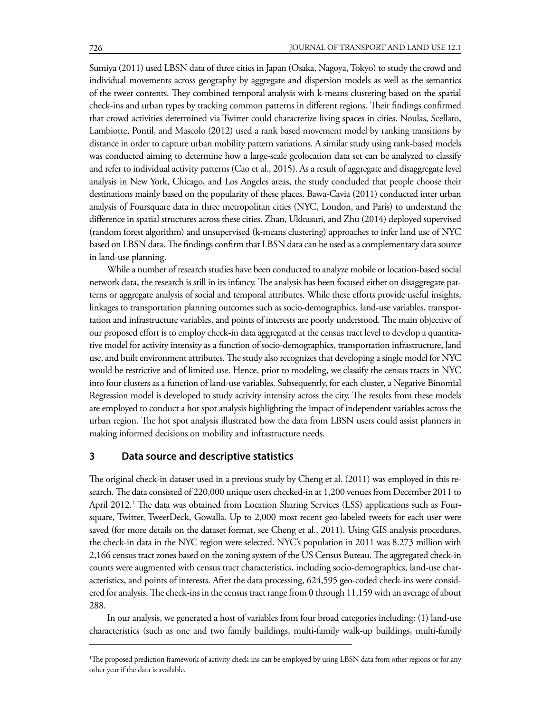Sumiya (2011) used LBSN data of three cities in Japan (Osaka, Nagoya, Tokyo) to study the crowd and individual movements across geography by aggregate and dispersion models as well as the semantics of the tweet contents. They combined temporal analysis with k-means clustering based on the spatial check-ins and urban types by tracking common patterns in different regions. Their findings confirmed that crowd activities determined via Twitter could characterize living spaces in cities. Noulas, Scellato, Lambiotte, Pontil, and Mascolo (2012) used a rank based movement model by ranking transitions by distance in order to capture urban mobility pattern variations. A similar study using rank-based models was conducted aiming to determine how a large-scale geolocation data set can be analyzed to classify and refer to individual activity patterns (Cao et al., 2015). As a result of aggregate and disaggregate level analysis in New York, Chicago, and Los Angeles areas, the study concluded that people choose their destinations mainly based on the popularity of these places. Bawa-Cavia (2011) conducted inter urban analysis of Foursquare data in three metropolitan cities (NYC, London, and Paris) to understand the difference in spatial structures across these cities. Zhan, Ukkusuri, and Zhu (2014) deployed supervised (random forest algorithm) and unsupervised (k-means clustering) approaches to infer land use of NYC based on LBSN data. The findings confirm that LBSN data can be used as a complementary data source in land-use planning.

While a number of research studies have been conducted to analyze mobile or location-based social network data, the research is still in its infancy. The analysis has been focused either on disaggregate patterns or aggregate analysis of social and temporal attributes. While these efforts provide useful insights, linkages to transportation planning outcomes such as socio-demographics, land-use variables, transportation and infrastructure variables, and points of interests are poorly understood. The main objective of our proposed effort is to employ check-in data aggregated at the census tract level to develop a quantitative model for activity intensity as a function of socio-demographics, transportation infrastructure, land use, and built environment attributes. The study also recognizes that developing a single model for NYC would be restrictive and of limited use. Hence, prior to modeling, we classify the census tracts in NYC into four clusters as a function of land-use variables. Subsequently, for each cluster, a Negative Binomial Regression model is developed to study activity intensity across the city. The results from these models are employed to conduct a hot spot analysis highlighting the impact of independent variables across the urban region. The hot spot analysis illustrated how the data from LBSN users could assist planners in making informed decisions on mobility and infrastructure needs.

## **3 Data source and descriptive statistics**

The original check-in dataset used in a previous study by Cheng et al. (2011) was employed in this research. The data consisted of 220,000 unique users checked-in at 1,200 venues from December 2011 to April 2012.<sup>1</sup> The data was obtained from Location Sharing Services (LSS) applications such as Foursquare, Twitter, TweetDeck, Gowalla. Up to 2,000 most recent geo-labeled tweets for each user were saved (for more details on the dataset format, see Cheng et al., 2011). Using GIS analysis procedures, the check-in data in the NYC region were selected. NYC's population in 2011 was 8.273 million with 2,166 census tract zones based on the zoning system of the US Census Bureau. The aggregated check-in counts were augmented with census tract characteristics, including socio-demographics, land-use characteristics, and points of interests. After the data processing, 624,595 geo-coded check-ins were considered for analysis. The check-ins in the census tract range from 0 through 11,159 with an average of about 288.

In our analysis, we generated a host of variables from four broad categories including: (1) land-use characteristics (such as one and two family buildings, multi-family walk-up buildings, multi-family

<sup>1</sup> The proposed prediction framework of activity check-ins can be employed by using LBSN data from other regions or for any other year if the data is available.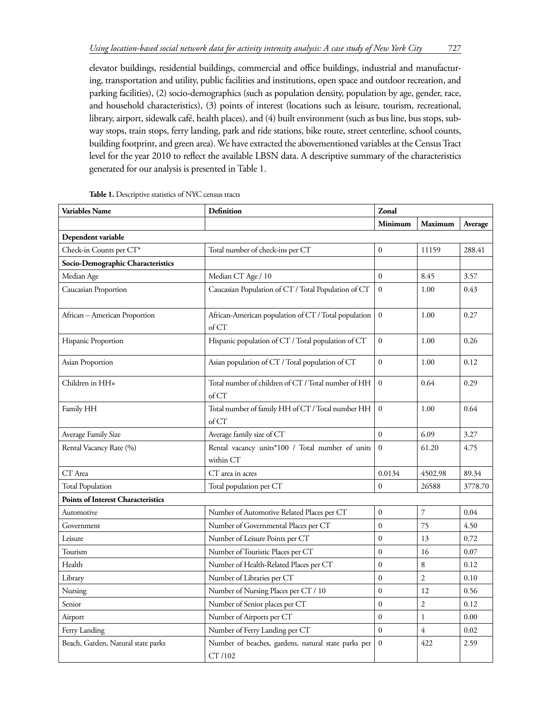elevator buildings, residential buildings, commercial and office buildings, industrial and manufacturing, transportation and utility, public facilities and institutions, open space and outdoor recreation, and parking facilities), (2) socio-demographics (such as population density, population by age, gender, race, and household characteristics), (3) points of interest (locations such as leisure, tourism, recreational, library, airport, sidewalk café, health places), and (4) built environment (such as bus line, bus stops, subway stops, train stops, ferry landing, park and ride stations, bike route, street centerline, school counts, building footprint, and green area). We have extracted the abovementioned variables at the Census Tract level for the year 2010 to reflect the available LBSN data. A descriptive summary of the characteristics generated for our analysis is presented in Table 1.

| <b>Variables Name</b>                     | <b>Definition</b>                                                   | Zonal            |                |         |  |  |
|-------------------------------------------|---------------------------------------------------------------------|------------------|----------------|---------|--|--|
|                                           |                                                                     | Minimum          | <b>Maximum</b> | Average |  |  |
| Dependent variable                        |                                                                     |                  |                |         |  |  |
| Check-in Counts per CT*                   | Total number of check-ins per CT                                    | $\mathbf{0}$     | 11159          | 288.41  |  |  |
| Socio-Demographic Characteristics         |                                                                     |                  |                |         |  |  |
| Median Age                                | Median CT Age / 10                                                  | $\mathbf{0}$     | 8.45           | 3.57    |  |  |
| Caucasian Proportion                      | Caucasian Population of CT / Total Population of CT                 | $\mathbf{0}$     | 1.00           | 0.43    |  |  |
| African – American Proportion             | African-American population of CT / Total population<br>$of CT$     | $\mathbf{0}$     | 1.00           | 0.27    |  |  |
| Hispanic Proportion                       | Hispanic population of CT / Total population of CT                  | $\mathbf{0}$     | 1.00           | 0.26    |  |  |
| Asian Proportion                          | Asian population of CT / Total population of CT                     | $\mathbf{0}$     | 1.00           | 0.12    |  |  |
| Children in HH×                           | Total number of children of CT / Total number of HH<br>of <i>CT</i> | $\mathbf{0}$     | 0.64           | 0.29    |  |  |
| Family HH                                 | Total number of family HH of CT / Total number HH<br>of <i>CT</i>   | $\mathbf{0}$     | 1.00           | 0.64    |  |  |
| Average Family Size                       | Average family size of CT                                           | $\theta$         | 6.09           | 3.27    |  |  |
| Rental Vacancy Rate (%)                   | $\mathbf{0}$<br>Rental vacancy units*100 / Total number of units    |                  | 61.20          | 4.75    |  |  |
|                                           | within CT                                                           |                  |                |         |  |  |
| CT Area                                   | CT area in acres                                                    | 0.0134           | 4502.98        | 89.34   |  |  |
| <b>Total Population</b>                   | Total population per CT                                             | $\theta$         | 26588          | 3778.70 |  |  |
| <b>Points of Interest Characteristics</b> |                                                                     |                  |                |         |  |  |
| Automotive                                | Number of Automotive Related Places per CT                          | $\overline{0}$   | 7              | 0.04    |  |  |
| Government                                | Number of Governmental Places per CT                                | $\mathbf{0}$     | 75             | 4.50    |  |  |
| Leisure                                   | Number of Leisure Points per CT                                     | $\overline{0}$   | 13             | 0.72    |  |  |
| Tourism                                   | Number of Touristic Places per CT                                   | $\mathbf{0}$     | 16             | 0.07    |  |  |
| Health                                    | Number of Health-Related Places per CT                              | $\mathbf{0}$     | 8              | 0.12    |  |  |
| Library                                   | Number of Libraries per CT                                          | $\overline{0}$   | $\overline{2}$ | 0.10    |  |  |
| Nursing                                   | Number of Nursing Places per CT / 10                                | $\mathbf{0}$     | 12             | 0.56    |  |  |
| Senior                                    | Number of Senior places per CT                                      | $\mathbf{0}$     | $\overline{2}$ | 0.12    |  |  |
| Airport                                   | Number of Airports per CT                                           | $\overline{0}$   | $\mathbf{1}$   | 0.00    |  |  |
| Ferry Landing                             | Number of Ferry Landing per CT                                      | $\boldsymbol{0}$ | $\overline{4}$ | 0.02    |  |  |
| Beach, Garden, Natural state parks        | Number of beaches, gardens, natural state parks per<br>CT /102      | $\mathbf{0}$     | 422            | 2.59    |  |  |

**Table 1.** Descriptive statistics of NYC census tracts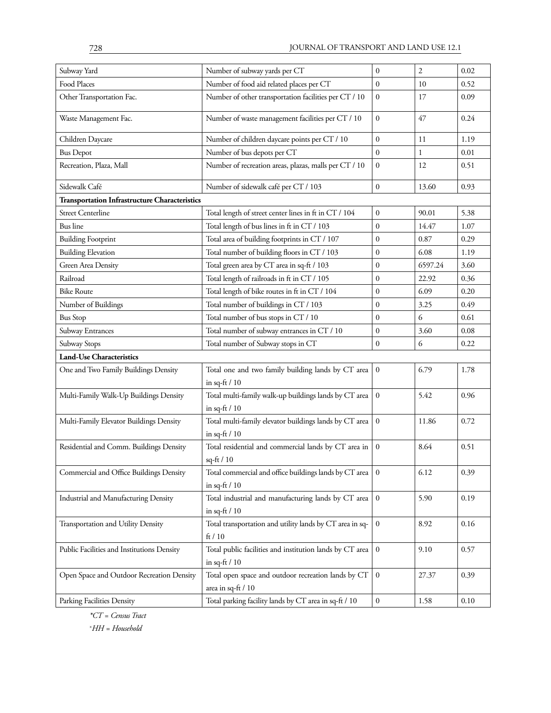| Subway Yard                                          | Number of subway yards per CT                                                 | $\mathbf{0}$     | $\overline{2}$ | 0.02     |
|------------------------------------------------------|-------------------------------------------------------------------------------|------------------|----------------|----------|
| Food Places                                          | Number of food aid related places per CT                                      | $\mathbf{0}$     | 10             | 0.52     |
| Other Transportation Fac.                            | Number of other transportation facilities per CT / 10                         | $\mathbf{0}$     | 17             | 0.09     |
| Waste Management Fac.                                | Number of waste management facilities per CT / 10                             | $\boldsymbol{0}$ | 47             | 0.24     |
| Children Daycare                                     | Number of children daycare points per CT / 10                                 | 11               | 1.19           |          |
| <b>Bus Depot</b>                                     | Number of bus depots per CT                                                   | $\mathbf{0}$     | 1              | 0.01     |
| Recreation, Plaza, Mall                              | Number of recreation areas, plazas, malls per CT / 10                         | $\mathbf{0}$     | 12             | 0.51     |
| Sidewalk Café                                        | Number of sidewalk café per CT / 103                                          | $\boldsymbol{0}$ | 13.60          | 0.93     |
| <b>Transportation Infrastructure Characteristics</b> |                                                                               |                  |                |          |
| <b>Street Centerline</b>                             | Total length of street center lines in ft in CT / 104                         | $\mathbf{0}$     | 90.01          | 5.38     |
| <b>Bus</b> line                                      | Total length of bus lines in ft in CT / 103                                   | $\boldsymbol{0}$ | 14.47          | 1.07     |
| <b>Building Footprint</b>                            | Total area of building footprints in CT / 107                                 | 0.87             | 0.29           |          |
| <b>Building Elevation</b>                            | Total number of building floors in CT / 103                                   | $\mathbf{0}$     | 6.08           | 1.19     |
| <b>Green Area Density</b>                            | Total green area by CT area in sq-ft / 103                                    | $\boldsymbol{0}$ | 6597.24        | 3.60     |
| Railroad                                             | Total length of railroads in ft in CT / 105                                   | $\mathbf{0}$     | 22.92          | 0.36     |
| <b>Bike Route</b>                                    | Total length of bike routes in ft in CT / 104                                 | $\mathbf{0}$     | 6.09           | 0.20     |
| Number of Buildings                                  | Total number of buildings in CT / 103                                         | $\mathbf{0}$     | 3.25           | 0.49     |
| <b>Bus Stop</b>                                      | Total number of bus stops in CT / 10                                          | $\mathbf{0}$     | 6              | 0.61     |
| Subway Entrances                                     | Total number of subway entrances in CT / 10                                   | $\boldsymbol{0}$ | 3.60           | 0.08     |
| Subway Stops                                         | Total number of Subway stops in CT                                            | $\boldsymbol{0}$ | 6              | 0.22     |
| <b>Land-Use Characteristics</b>                      |                                                                               |                  |                |          |
| One and Two Family Buildings Density                 | Total one and two family building lands by CT area<br>in sq-ft $/ 10$         | $\mathbf{0}$     | 6.79           | 1.78     |
| Multi-Family Walk-Up Buildings Density               | Total multi-family walk-up buildings lands by CT area                         | $\mathbf{0}$     | 5.42           | 0.96     |
|                                                      | in sq-ft $/ 10$                                                               |                  |                |          |
| Multi-Family Elevator Buildings Density              | Total multi-family elevator buildings lands by CT area<br>in sq-ft $/ 10$     | $\mathbf{0}$     | 11.86          | 0.72     |
| Residential and Comm. Buildings Density              | Total residential and commercial lands by CT area in<br>sq-ft / 10            | $\mathbf{0}$     | 8.64           | 0.51     |
| Commercial and Office Buildings Density              | Total commercial and office buildings lands by CT area<br>in sq-ft $/ 10$     | $\mathbf{0}$     | 6.12           | 0.39     |
| Industrial and Manufacturing Density                 | Total industrial and manufacturing lands by CT area<br>in sq-ft $/ 10$        | $\boldsymbol{0}$ | 5.90           | 0.19     |
| Transportation and Utility Density                   | Total transportation and utility lands by CT area in sq-<br>ft/10             | 8.92             | 0.16           |          |
| Public Facilities and Institutions Density           | Total public facilities and institution lands by CT area<br>in sq-ft $/ 10$   | 9.10             | 0.57           |          |
| Open Space and Outdoor Recreation Density            | Total open space and outdoor recreation lands by CT<br>area in sq-ft / $10\,$ | 27.37            | 0.39           |          |
| Parking Facilities Density                           | Total parking facility lands by CT area in sq-ft / 10                         | $\boldsymbol{0}$ | 1.58           | $0.10\,$ |

*\*CT = Census Tract × HH = Household*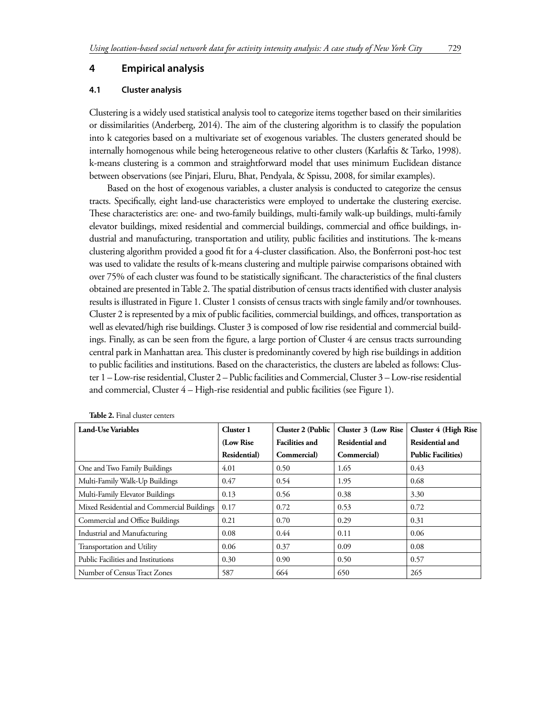#### **4 Empirical analysis**

#### **4.1 Cluster analysis**

Clustering is a widely used statistical analysis tool to categorize items together based on their similarities or dissimilarities (Anderberg, 2014). The aim of the clustering algorithm is to classify the population into k categories based on a multivariate set of exogenous variables. The clusters generated should be internally homogenous while being heterogeneous relative to other clusters (Karlaftis & Tarko, 1998). k-means clustering is a common and straightforward model that uses minimum Euclidean distance between observations (see Pinjari, Eluru, Bhat, Pendyala, & Spissu, 2008, for similar examples).

Based on the host of exogenous variables, a cluster analysis is conducted to categorize the census tracts. Specifically, eight land-use characteristics were employed to undertake the clustering exercise. These characteristics are: one- and two-family buildings, multi-family walk-up buildings, multi-family elevator buildings, mixed residential and commercial buildings, commercial and office buildings, industrial and manufacturing, transportation and utility, public facilities and institutions. The k-means clustering algorithm provided a good fit for a 4-cluster classification. Also, the Bonferroni post-hoc test was used to validate the results of k-means clustering and multiple pairwise comparisons obtained with over 75% of each cluster was found to be statistically significant. The characteristics of the final clusters obtained are presented in Table 2. The spatial distribution of census tracts identified with cluster analysis results is illustrated in Figure 1. Cluster 1 consists of census tracts with single family and/or townhouses. Cluster 2 is represented by a mix of public facilities, commercial buildings, and offices, transportation as well as elevated/high rise buildings. Cluster 3 is composed of low rise residential and commercial buildings. Finally, as can be seen from the figure, a large portion of Cluster 4 are census tracts surrounding central park in Manhattan area. This cluster is predominantly covered by high rise buildings in addition to public facilities and institutions. Based on the characteristics, the clusters are labeled as follows: Cluster 1 – Low-rise residential, Cluster 2 – Public facilities and Commercial, Cluster 3 – Low-rise residential and commercial, Cluster 4 – High-rise residential and public facilities (see Figure 1).

| Land-Use Variables                         | Cluster 1    | Cluster 2 (Public     | Cluster 3 (Low Rise) | <b>Cluster 4 (High Rise)</b> |
|--------------------------------------------|--------------|-----------------------|----------------------|------------------------------|
|                                            | (Low Rise)   | <b>Facilities and</b> | Residential and      | Residential and              |
|                                            | Residential) | Commercial)           | Commercial)          | <b>Public Facilities</b> )   |
| One and Two Family Buildings               | 4.01         | 0.50                  | 1.65                 | 0.43                         |
| Multi-Family Walk-Up Buildings             | 0.47         | 0.54                  | 1.95                 | 0.68                         |
| Multi-Family Elevator Buildings            | 0.13         | 0.56                  | 0.38                 | 3.30                         |
| Mixed Residential and Commercial Buildings | 0.17         | 0.72                  | 0.53                 | 0.72                         |
| Commercial and Office Buildings            | 0.21         | 0.70                  | 0.29                 | 0.31                         |
| Industrial and Manufacturing               | 0.08         | 0.44                  | 0.11                 | 0.06                         |
| Transportation and Utility                 | 0.06         | 0.37                  | 0.09                 | 0.08                         |
| Public Facilities and Institutions         | 0.30         | 0.90                  | 0.50                 | 0.57                         |
| Number of Census Tract Zones               | 587          | 664                   | 650                  | 265                          |

**Table 2.** Final cluster centers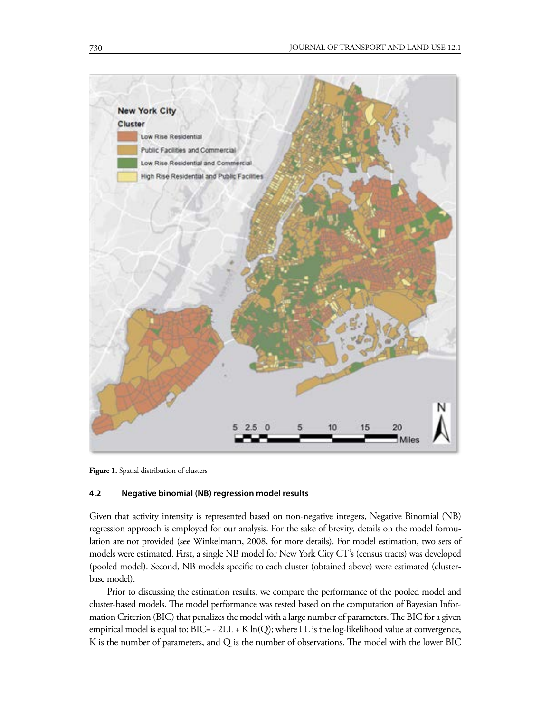

**Figure 1.** Spatial distribution of clusters

#### **4.2 Negative binomial (NB) regression model results**

Given that activity intensity is represented based on non-negative integers, Negative Binomial (NB) regression approach is employed for our analysis. For the sake of brevity, details on the model formulation are not provided (see Winkelmann, 2008, for more details). For model estimation, two sets of models were estimated. First, a single NB model for New York City CT's (census tracts) was developed (pooled model). Second, NB models specific to each cluster (obtained above) were estimated (clusterbase model).

Prior to discussing the estimation results, we compare the performance of the pooled model and cluster-based models. The model performance was tested based on the computation of Bayesian Information Criterion (BIC) that penalizes the model with a large number of parameters. The BIC for a given empirical model is equal to:  $BIC = -2LL + K ln(Q)$ ; where LL is the log-likelihood value at convergence, K is the number of parameters, and Q is the number of observations. The model with the lower BIC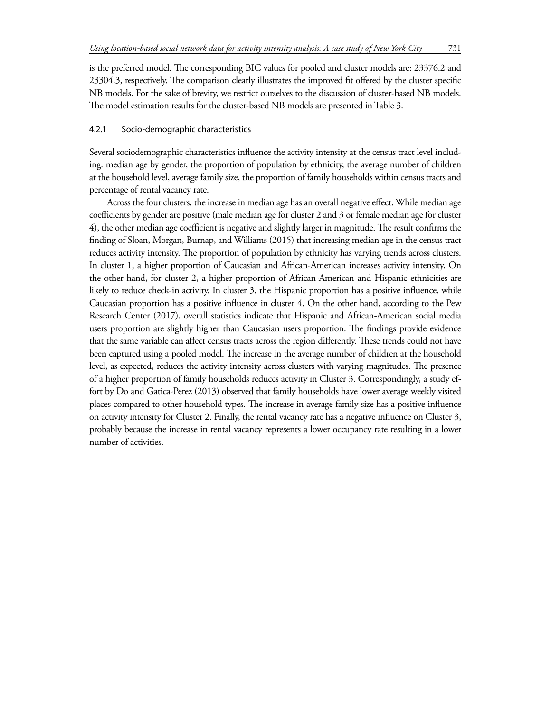is the preferred model. The corresponding BIC values for pooled and cluster models are: 23376.2 and 23304.3, respectively. The comparison clearly illustrates the improved fit offered by the cluster specific NB models. For the sake of brevity, we restrict ourselves to the discussion of cluster-based NB models. The model estimation results for the cluster-based NB models are presented in Table 3.

## 4.2.1 Socio-demographic characteristics

Several sociodemographic characteristics influence the activity intensity at the census tract level including: median age by gender, the proportion of population by ethnicity, the average number of children at the household level, average family size, the proportion of family households within census tracts and percentage of rental vacancy rate.

Across the four clusters, the increase in median age has an overall negative effect. While median age coefficients by gender are positive (male median age for cluster 2 and 3 or female median age for cluster 4), the other median age coefficient is negative and slightly larger in magnitude. The result confirms the finding of Sloan, Morgan, Burnap, and Williams (2015) that increasing median age in the census tract reduces activity intensity. The proportion of population by ethnicity has varying trends across clusters. In cluster 1, a higher proportion of Caucasian and African-American increases activity intensity. On the other hand, for cluster 2, a higher proportion of African-American and Hispanic ethnicities are likely to reduce check-in activity. In cluster 3, the Hispanic proportion has a positive influence, while Caucasian proportion has a positive influence in cluster 4. On the other hand, according to the Pew Research Center (2017), overall statistics indicate that Hispanic and African-American social media users proportion are slightly higher than Caucasian users proportion. The findings provide evidence that the same variable can affect census tracts across the region differently. These trends could not have been captured using a pooled model. The increase in the average number of children at the household level, as expected, reduces the activity intensity across clusters with varying magnitudes. The presence of a higher proportion of family households reduces activity in Cluster 3. Correspondingly, a study effort by Do and Gatica-Perez (2013) observed that family households have lower average weekly visited places compared to other household types. The increase in average family size has a positive influence on activity intensity for Cluster 2. Finally, the rental vacancy rate has a negative influence on Cluster 3, probably because the increase in rental vacancy represents a lower occupancy rate resulting in a lower number of activities.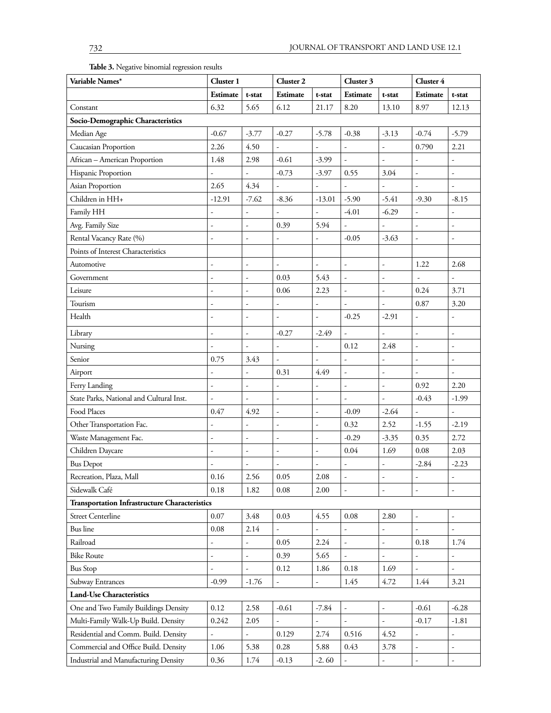**Table 3.** Negative binomial regression results

| Variable Names*                                      | Cluster 1                |                          | Cluster <sub>2</sub>     |                          | Cluster 3                |                          | Cluster 4                |                          |
|------------------------------------------------------|--------------------------|--------------------------|--------------------------|--------------------------|--------------------------|--------------------------|--------------------------|--------------------------|
|                                                      | <b>Estimate</b>          | t-stat                   | Estimate                 | t-stat                   | Estimate                 | t-stat                   | Estimate                 | t-stat                   |
| Constant                                             | 6.32                     | 5.65                     | 6.12                     | 21.17                    | 8.20                     | 13.10                    | 8.97                     | 12.13                    |
| Socio-Demographic Characteristics                    |                          |                          |                          |                          |                          |                          |                          |                          |
| Median Age                                           | $-0.67$                  | $-3.77$                  | $-0.27$                  | $-5.78$                  | $-0.38$                  | $-3.13$                  | $-0.74$                  | $-5.79$                  |
| Caucasian Proportion                                 | 2.26                     | 4.50                     |                          |                          |                          |                          | 0.790                    | 2.21                     |
| African - American Proportion                        | 1.48                     | 2.98                     | $-0.61$                  | $-3.99$                  |                          |                          |                          | $\overline{\phantom{m}}$ |
| Hispanic Proportion                                  |                          | $\overline{a}$           | $-0.73$                  | $-3.97$                  | 0.55                     | 3.04                     | ÷,                       |                          |
| Asian Proportion                                     | 2.65                     | 4.34                     |                          |                          |                          |                          |                          |                          |
| Children in HH+                                      | $-12.91$                 | $-7.62$                  | $-8.36$                  | $-13.01$                 | $-5.90$                  | $-5.41$                  | $-9.30$                  | $-8.15$                  |
| Family HH                                            |                          |                          |                          |                          | $-4.01$                  | $-6.29$                  |                          |                          |
| Avg. Family Size                                     | $\frac{1}{2}$            | $\frac{1}{2}$            | 0.39                     | 5.94                     |                          | $\frac{1}{2}$            | $\frac{1}{2}$            | $\overline{\phantom{a}}$ |
| Rental Vacancy Rate (%)                              | $\overline{\phantom{a}}$ | $\overline{a}$           |                          |                          | $-0.05$                  | $-3.63$                  |                          |                          |
| Points of Interest Characteristics                   |                          |                          |                          |                          |                          |                          |                          |                          |
| Automotive                                           |                          | ÷                        | ÷,                       | $\overline{\phantom{a}}$ | ÷,                       | $\overline{\phantom{a}}$ | 1.22                     | 2.68                     |
| Government                                           | $\overline{\phantom{a}}$ | ÷,                       | 0.03                     | 5.43                     | ÷,                       | ÷,                       |                          |                          |
| Leisure                                              | $\overline{\phantom{a}}$ | ÷,                       | 0.06                     | 2.23                     | ÷,                       | $\overline{\phantom{a}}$ | 0.24                     | 3.71                     |
| Tourism                                              |                          | $\overline{a}$           |                          |                          |                          |                          | 0.87                     | 3.20                     |
| Health                                               |                          | ÷                        | L,                       | $\overline{\phantom{a}}$ | $-0.25$                  | $-2.91$                  | $\overline{\phantom{a}}$ |                          |
| Library                                              | $\overline{\phantom{a}}$ | ÷,                       | $-0.27$                  | $-2.49$                  |                          |                          | ÷,                       | $\overline{\phantom{a}}$ |
| Nursing                                              |                          | L                        |                          |                          | 0.12                     | 2.48                     |                          |                          |
| Senior                                               | 0.75                     | 3.43                     |                          |                          |                          |                          |                          |                          |
| Airport                                              |                          | $\overline{a}$           | 0.31                     | 4.49                     | L,                       | $\overline{\phantom{a}}$ |                          | $\overline{\phantom{a}}$ |
| Ferry Landing                                        | $\overline{\phantom{a}}$ | ÷,                       | ÷,                       | $\overline{\phantom{a}}$ | L,                       | ÷,                       | 0.92                     | 2.20                     |
| State Parks, National and Cultural Inst.             | $\overline{\phantom{a}}$ | $\overline{\phantom{a}}$ | ÷,                       | ÷,                       | L,                       | $\overline{\phantom{a}}$ | $-0.43$                  | $-1.99$                  |
| Food Places                                          | 0.47                     | 4.92                     | $\frac{1}{2}$            | $\overline{\phantom{a}}$ | $-0.09$                  | $-2.64$                  |                          | $\overline{\phantom{a}}$ |
| Other Transportation Fac.                            |                          | $\overline{a}$           | $\overline{a}$           | $\overline{\phantom{a}}$ | 0.32                     | 2.52                     | $-1.55$                  | $-2.19$                  |
| Waste Management Fac.                                |                          | $\overline{a}$           |                          | ÷,                       | $-0.29$                  | $-3.35$                  | 0.35                     | 2.72                     |
| Children Daycare                                     | $\overline{\phantom{a}}$ | ÷,                       | L,                       | $\overline{\phantom{a}}$ | 0.04                     | 1.69                     | $0.08\,$                 | 2.03                     |
| <b>Bus Depot</b>                                     | $\overline{\phantom{a}}$ | ÷,                       | ÷,                       | $\overline{\phantom{a}}$ | ÷,                       | $\overline{\phantom{a}}$ | $-2.84$                  | $-2.23$                  |
| Recreation, Plaza, Mall                              | $0.16\,$                 | 2.56                     | 0.05                     | 2.08                     | ۰                        | ۰                        | ۰                        | ۰                        |
| Sidewalk Café                                        | 0.18                     | 1.82                     | 0.08                     | 2.00                     | ÷,                       | ÷,                       | $\overline{\phantom{a}}$ | ÷                        |
| <b>Transportation Infrastructure Characteristics</b> |                          |                          |                          |                          |                          |                          |                          |                          |
| <b>Street Centerline</b>                             | 0.07                     | 3.48                     | $0.03\,$                 | 4.55                     | 0.08                     | 2.80                     |                          | $\overline{\phantom{a}}$ |
| <b>Bus</b> line                                      | $0.08\,$                 | 2.14                     | $\overline{a}$           |                          | L,                       |                          |                          | $\overline{\phantom{a}}$ |
| Railroad                                             | ÷,                       | $\overline{a}$           | 0.05                     | 2.24                     | $\overline{a}$           | $\frac{1}{2}$            | 0.18                     | 1.74                     |
| <b>Bike Route</b>                                    | $\overline{\phantom{a}}$ | ÷,                       | 0.39                     | 5.65                     | $\overline{\phantom{a}}$ | $\overline{\phantom{a}}$ | ÷,                       | $\overline{\phantom{a}}$ |
| <b>Bus Stop</b>                                      |                          | ÷,                       | 0.12                     | 1.86                     | 0.18                     | 1.69                     |                          | $\overline{\phantom{a}}$ |
| Subway Entrances                                     | $-0.99$                  | $-1.76$                  | $\overline{\phantom{a}}$ | $\overline{\phantom{a}}$ | 1.45                     | 4.72                     | 1.44                     | 3.21                     |
| <b>Land-Use Characteristics</b>                      |                          |                          |                          |                          |                          |                          |                          |                          |
| One and Two Family Buildings Density                 | 0.12                     | 2.58                     | $-0.61$                  | $-7.84$                  | ÷,                       | $\overline{\phantom{a}}$ | $-0.61$                  | $-6.28$                  |
| Multi-Family Walk-Up Build. Density                  | 0.242                    | 2.05                     | $\frac{1}{2}$            |                          | ÷,                       | $\overline{\phantom{a}}$ | $-0.17$                  | $-1.81$                  |
| Residential and Comm. Build. Density                 |                          | $\overline{a}$           | 0.129                    | 2.74                     | 0.516                    | 4.52                     |                          | ÷,                       |
| Commercial and Office Build. Density                 | 1.06                     | 5.38                     | 0.28                     | 5.88                     | 0.43                     | 3.78                     | $\overline{\phantom{a}}$ | $\overline{\phantom{a}}$ |
| Industrial and Manufacturing Density                 | 0.36                     | 1.74                     | $-0.13$                  | $-2.60$                  |                          |                          | $\frac{1}{2}$            | $\overline{\phantom{a}}$ |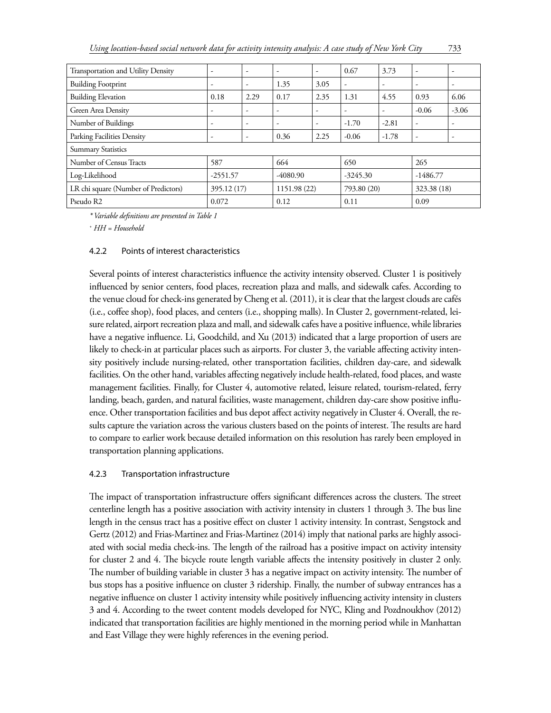| Transportation and Utility Density   | $\overline{\phantom{a}}$ | $\overline{\phantom{a}}$ | ۰            | $\overline{\phantom{a}}$ | 0.67        | 3.73                     | $\overline{\phantom{a}}$ |         |
|--------------------------------------|--------------------------|--------------------------|--------------|--------------------------|-------------|--------------------------|--------------------------|---------|
| <b>Building Footprint</b>            | ٠                        | $\overline{\phantom{a}}$ | 1.35         | 3.05                     | ۰           | ٠                        | ٠                        |         |
| <b>Building Elevation</b>            | 0.18                     | 2.29                     | 0.17         | 2.35                     | 1.31        | 4.55                     | 0.93                     | 6.06    |
| Green Area Density                   | $\overline{\phantom{a}}$ | $\overline{\phantom{a}}$ | ۰            | $\overline{\phantom{a}}$ | ٠           | $\overline{\phantom{a}}$ | $-0.06$                  | $-3.06$ |
| Number of Buildings                  | ٠                        | ٠                        | ۰            | $\overline{\phantom{a}}$ | $-1.70$     | $-2.81$                  | $\overline{\phantom{a}}$ |         |
| Parking Facilities Density           | ٠                        | $\overline{\phantom{a}}$ | 0.36         | 2.25                     | $-0.06$     | $-1.78$                  | $\overline{\phantom{a}}$ |         |
| <b>Summary Statistics</b>            |                          |                          |              |                          |             |                          |                          |         |
| Number of Census Tracts              | 587                      |                          | 664          |                          | 650         |                          | 265                      |         |
| Log-Likelihood                       | $-2551.57$               |                          | -4080.90     |                          | $-3245.30$  |                          | $-1486.77$               |         |
| LR chi square (Number of Predictors) | 395.12 (17)              |                          | 1151.98 (22) |                          | 793.80 (20) |                          | 323.38 (18)              |         |
| Pseudo R2                            | 0.072                    |                          | 0.12         |                          | 0.11        |                          | 0.09                     |         |

*\* Variable definitions are presented in Table 1*

*+ HH = Household* 

## 4.2.2 Points of interest characteristics

Several points of interest characteristics influence the activity intensity observed. Cluster 1 is positively influenced by senior centers, food places, recreation plaza and malls, and sidewalk cafes. According to the venue cloud for check-ins generated by Cheng et al. (2011), it is clear that the largest clouds are cafés (i.e., coffee shop), food places, and centers (i.e., shopping malls). In Cluster 2, government-related, leisure related, airport recreation plaza and mall, and sidewalk cafes have a positive influence, while libraries have a negative influence. Li, Goodchild, and Xu (2013) indicated that a large proportion of users are likely to check-in at particular places such as airports. For cluster 3, the variable affecting activity intensity positively include nursing-related, other transportation facilities, children day-care, and sidewalk facilities. On the other hand, variables affecting negatively include health-related, food places, and waste management facilities. Finally, for Cluster 4, automotive related, leisure related, tourism-related, ferry landing, beach, garden, and natural facilities, waste management, children day-care show positive influence. Other transportation facilities and bus depot affect activity negatively in Cluster 4. Overall, the results capture the variation across the various clusters based on the points of interest. The results are hard to compare to earlier work because detailed information on this resolution has rarely been employed in transportation planning applications.

## 4.2.3 Transportation infrastructure

The impact of transportation infrastructure offers significant differences across the clusters. The street centerline length has a positive association with activity intensity in clusters 1 through 3. The bus line length in the census tract has a positive effect on cluster 1 activity intensity. In contrast, Sengstock and Gertz (2012) and Frias-Martinez and Frias-Martinez (2014) imply that national parks are highly associated with social media check-ins. The length of the railroad has a positive impact on activity intensity for cluster 2 and 4. The bicycle route length variable affects the intensity positively in cluster 2 only. The number of building variable in cluster 3 has a negative impact on activity intensity. The number of bus stops has a positive influence on cluster 3 ridership. Finally, the number of subway entrances has a negative influence on cluster 1 activity intensity while positively influencing activity intensity in clusters 3 and 4. According to the tweet content models developed for NYC, Kling and Pozdnoukhov (2012) indicated that transportation facilities are highly mentioned in the morning period while in Manhattan and East Village they were highly references in the evening period.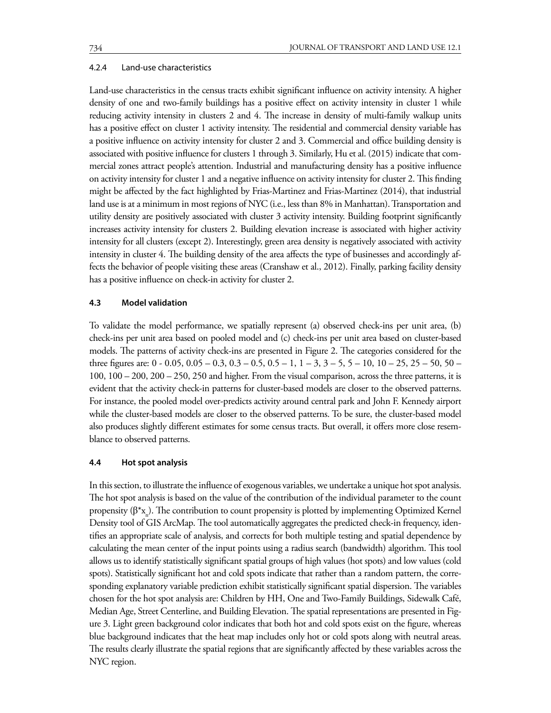#### 4.2.4 Land-use characteristics

Land-use characteristics in the census tracts exhibit significant influence on activity intensity. A higher density of one and two-family buildings has a positive effect on activity intensity in cluster 1 while reducing activity intensity in clusters 2 and 4. The increase in density of multi-family walkup units has a positive effect on cluster 1 activity intensity. The residential and commercial density variable has a positive influence on activity intensity for cluster 2 and 3. Commercial and office building density is associated with positive influence for clusters 1 through 3. Similarly, Hu et al. (2015) indicate that commercial zones attract people's attention. Industrial and manufacturing density has a positive influence on activity intensity for cluster 1 and a negative influence on activity intensity for cluster 2. This finding might be affected by the fact highlighted by Frias-Martinez and Frias-Martinez (2014), that industrial land use is at a minimum in most regions of NYC (i.e., less than 8% in Manhattan). Transportation and utility density are positively associated with cluster 3 activity intensity. Building footprint significantly increases activity intensity for clusters 2. Building elevation increase is associated with higher activity intensity for all clusters (except 2). Interestingly, green area density is negatively associated with activity intensity in cluster 4. The building density of the area affects the type of businesses and accordingly affects the behavior of people visiting these areas (Cranshaw et al., 2012). Finally, parking facility density has a positive influence on check-in activity for cluster 2.

#### **4.3 Model validation**

To validate the model performance, we spatially represent (a) observed check-ins per unit area, (b) check-ins per unit area based on pooled model and (c) check-ins per unit area based on cluster-based models. The patterns of activity check-ins are presented in Figure 2. The categories considered for the three figures are:  $0 - 0.05$ ,  $0.05 - 0.3$ ,  $0.3 - 0.5$ ,  $0.5 - 1$ ,  $1 - 3$ ,  $3 - 5$ ,  $5 - 10$ ,  $10 - 25$ ,  $25 - 50$ ,  $50 - 50$ 100, 100 – 200, 200 – 250, 250 and higher. From the visual comparison, across the three patterns, it is evident that the activity check-in patterns for cluster-based models are closer to the observed patterns. For instance, the pooled model over-predicts activity around central park and John F. Kennedy airport while the cluster-based models are closer to the observed patterns. To be sure, the cluster-based model also produces slightly different estimates for some census tracts. But overall, it offers more close resemblance to observed patterns.

#### **4.4 Hot spot analysis**

In this section, to illustrate the influence of exogenous variables, we undertake a unique hot spot analysis. The hot spot analysis is based on the value of the contribution of the individual parameter to the count propensity ( $\beta^*$ x<sub>n</sub>). The contribution to count propensity is plotted by implementing Optimized Kernel Density tool of GIS ArcMap. The tool automatically aggregates the predicted check-in frequency, identifies an appropriate scale of analysis, and corrects for both multiple testing and spatial dependence by calculating the mean center of the input points using a radius search (bandwidth) algorithm. This tool allows us to identify statistically significant spatial groups of high values (hot spots) and low values (cold spots). Statistically significant hot and cold spots indicate that rather than a random pattern, the corresponding explanatory variable prediction exhibit statistically significant spatial dispersion. The variables chosen for the hot spot analysis are: Children by HH, One and Two-Family Buildings, Sidewalk Café, Median Age, Street Centerline, and Building Elevation. The spatial representations are presented in Figure 3. Light green background color indicates that both hot and cold spots exist on the figure, whereas blue background indicates that the heat map includes only hot or cold spots along with neutral areas. The results clearly illustrate the spatial regions that are significantly affected by these variables across the NYC region.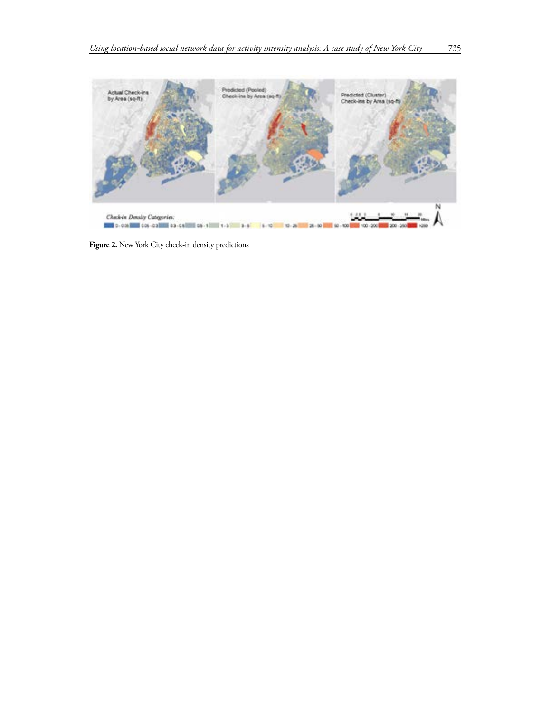

Figure 2. New York City check-in density predictions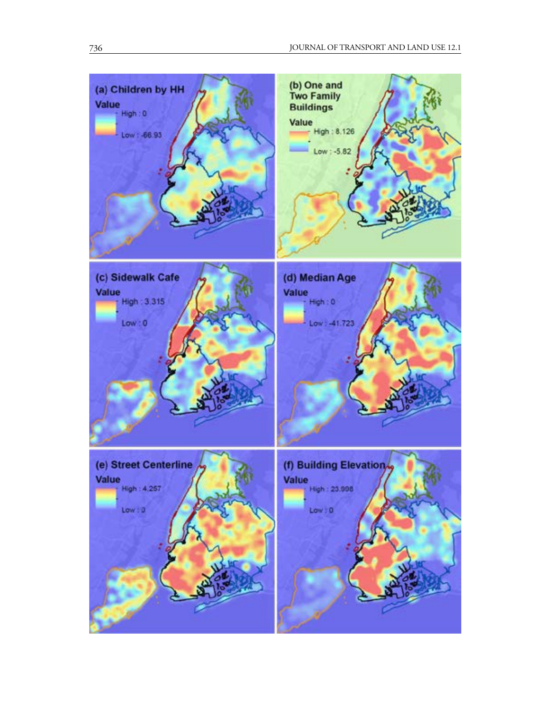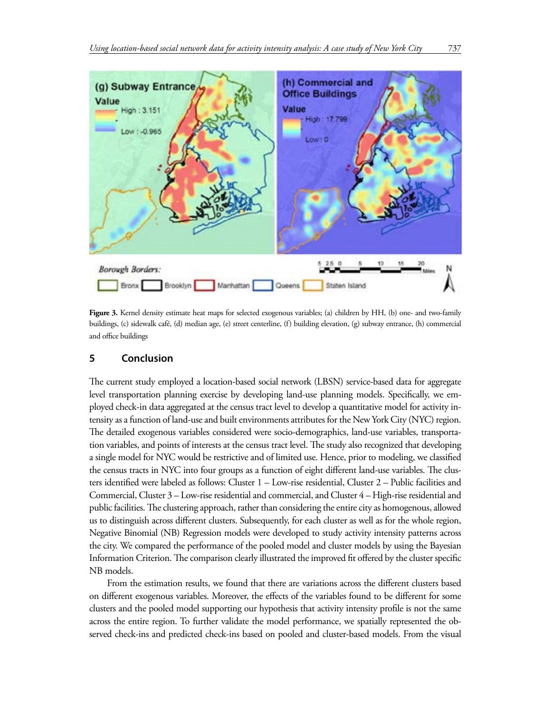

**Figure 3.** Kernel density estimate heat maps for selected exogenous variables; (a) children by HH, (b) one- and two-family buildings, (c) sidewalk café, (d) median age, (e) street centerline, (f) building elevation, (g) subway entrance, (h) commercial and office buildings

## **5 Conclusion**

The current study employed a location-based social network (LBSN) service-based data for aggregate level transportation planning exercise by developing land-use planning models. Specifically, we employed check-in data aggregated at the census tract level to develop a quantitative model for activity intensity as a function of land-use and built environments attributes for the New York City (NYC) region. The detailed exogenous variables considered were socio-demographics, land-use variables, transportation variables, and points of interests at the census tract level. The study also recognized that developing a single model for NYC would be restrictive and of limited use. Hence, prior to modeling, we classified the census tracts in NYC into four groups as a function of eight different land-use variables. The clusters identified were labeled as follows: Cluster 1 – Low-rise residential, Cluster 2 – Public facilities and Commercial, Cluster 3 – Low-rise residential and commercial, and Cluster 4 – High-rise residential and public facilities. The clustering approach, rather than considering the entire city as homogenous, allowed us to distinguish across different clusters. Subsequently, for each cluster as well as for the whole region, Negative Binomial (NB) Regression models were developed to study activity intensity patterns across the city. We compared the performance of the pooled model and cluster models by using the Bayesian Information Criterion. The comparison clearly illustrated the improved fit offered by the cluster specific NB models.

From the estimation results, we found that there are variations across the different clusters based on different exogenous variables. Moreover, the effects of the variables found to be different for some clusters and the pooled model supporting our hypothesis that activity intensity profile is not the same across the entire region. To further validate the model performance, we spatially represented the observed check-ins and predicted check-ins based on pooled and cluster-based models. From the visual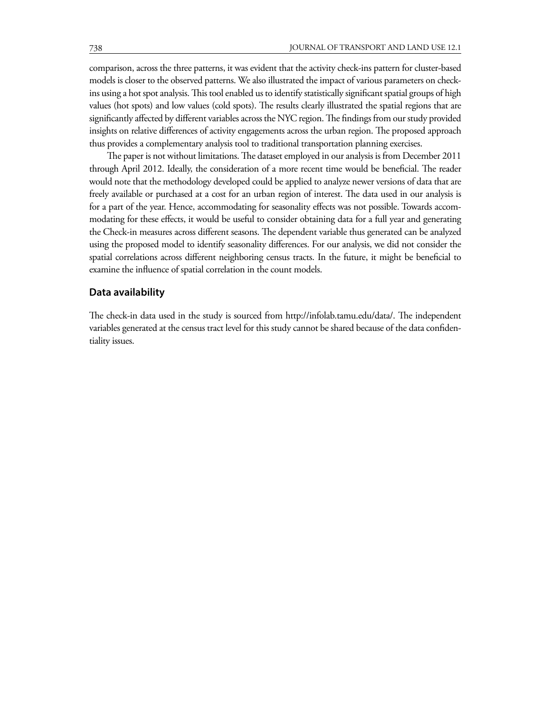comparison, across the three patterns, it was evident that the activity check-ins pattern for cluster-based models is closer to the observed patterns. We also illustrated the impact of various parameters on checkins using a hot spot analysis. This tool enabled us to identify statistically significant spatial groups of high values (hot spots) and low values (cold spots). The results clearly illustrated the spatial regions that are significantly affected by different variables across the NYC region. The findings from our study provided insights on relative differences of activity engagements across the urban region. The proposed approach thus provides a complementary analysis tool to traditional transportation planning exercises.

The paper is not without limitations. The dataset employed in our analysis is from December 2011 through April 2012. Ideally, the consideration of a more recent time would be beneficial. The reader would note that the methodology developed could be applied to analyze newer versions of data that are freely available or purchased at a cost for an urban region of interest. The data used in our analysis is for a part of the year. Hence, accommodating for seasonality effects was not possible. Towards accommodating for these effects, it would be useful to consider obtaining data for a full year and generating the Check-in measures across different seasons. The dependent variable thus generated can be analyzed using the proposed model to identify seasonality differences. For our analysis, we did not consider the spatial correlations across different neighboring census tracts. In the future, it might be beneficial to examine the influence of spatial correlation in the count models.

### **Data availability**

The check-in data used in the study is sourced from http://infolab.tamu.edu/data/. The independent variables generated at the census tract level for this study cannot be shared because of the data confidentiality issues.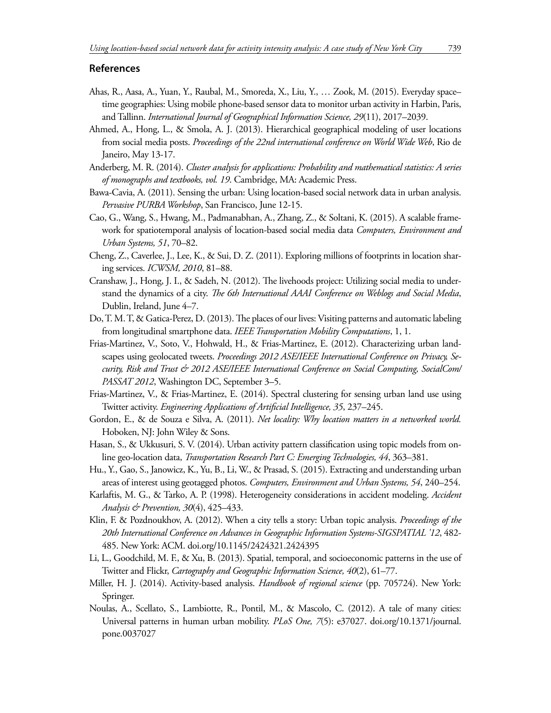#### **References**

- Ahas, R., Aasa, A., Yuan, Y., Raubal, M., Smoreda, X., Liu, Y., … Zook, M. (2015). Everyday space– time geographies: Using mobile phone-based sensor data to monitor urban activity in Harbin, Paris, and Tallinn. *International Journal of Geographical Information Science, 29*(11), 2017–2039.
- Ahmed, A., Hong, L., & Smola, A. J. (2013). Hierarchical geographical modeling of user locations from social media posts. *Proceedings of the 22nd international conference on World Wide Web*, Rio de Janeiro, May 13-17.
- Anderberg, M. R. (2014). *Cluster analysis for applications: Probability and mathematical statistics: A series of monographs and textbooks, vol. 19*. Cambridge, MA: Academic Press.
- Bawa-Cavia, A. (2011). Sensing the urban: Using location-based social network data in urban analysis. *Pervasive PURBA Workshop*, San Francisco, June 12-15.
- Cao, G., Wang, S., Hwang, M., Padmanabhan, A., Zhang, Z., & Soltani, K. (2015). A scalable framework for spatiotemporal analysis of location-based social media data *Computers, Environment and Urban Systems, 51*, 70–82.
- Cheng, Z., Caverlee, J., Lee, K., & Sui, D. Z. (2011). Exploring millions of footprints in location sharing services. *ICWSM, 2010*, 81–88.
- Cranshaw, J., Hong, J. I., & Sadeh, N. (2012). The livehoods project: Utilizing social media to understand the dynamics of a city. *The 6th International AAAI Conference on Weblogs and Social Media*, Dublin, Ireland, June 4–7.
- Do, T. M. T, & Gatica-Perez, D. (2013). The places of our lives: Visiting patterns and automatic labeling from longitudinal smartphone data. *IEEE Transportation Mobility Computations*, 1, 1.
- Frias-Martinez, V., Soto, V., Hohwald, H., & Frias-Martinez, E. (2012). Characterizing urban landscapes using geolocated tweets. *Proceedings 2012 ASE/IEEE International Conference on Privacy, Security, Risk and Trust & 2012 ASE/IEEE International Conference on Social Computing, SocialCom/ PASSAT 2012*, Washington DC, September 3–5.
- Frias-Martinez, V., & Frias-Martinez, E. (2014). Spectral clustering for sensing urban land use using Twitter activity. *Engineering Applications of Artificial Intelligence, 35*, 237–245.
- Gordon, E., & de Souza e Silva, A. (2011). *Net locality: Why location matters in a networked world.*  Hoboken, NJ: John Wiley & Sons.
- Hasan, S., & Ukkusuri, S. V. (2014). Urban activity pattern classification using topic models from online geo-location data, *Transportation Research Part C: Emerging Technologies, 44*, 363–381.
- Hu., Y., Gao, S., Janowicz, K., Yu, B., Li, W., & Prasad, S. (2015). Extracting and understanding urban areas of interest using geotagged photos. *Computers, Environment and Urban Systems, 54*, 240–254.
- Karlaftis, M. G., & Tarko, A. P. (1998). Heterogeneity considerations in accident modeling. *Accident Analysis & Prevention, 30*(4), 425–433.
- Klin, F. & Pozdnoukhov, A. (2012). When a city tells a story: Urban topic analysis. *Proceedings of the 20th International Conference on Advances in Geographic Information Systems-SIGSPATIAL '12*, 482- 485. New York: ACM. doi.org/10.1145/2424321.2424395
- Li, L., Goodchild, M. F., & Xu, B. (2013). Spatial, temporal, and socioeconomic patterns in the use of Twitter and Flickr, *Cartography and Geographic Information Science, 40*(2), 61–77.
- Miller, H. J. (2014). Activity-based analysis. *Handbook of regional science* (pp. 705724). New York: Springer.
- Noulas, A., Scellato, S., Lambiotte, R., Pontil, M., & Mascolo, C. (2012). A tale of many cities: Universal patterns in human urban mobility. *PLoS One, 7*(5): e37027. doi.org/10.1371/journal. pone.0037027